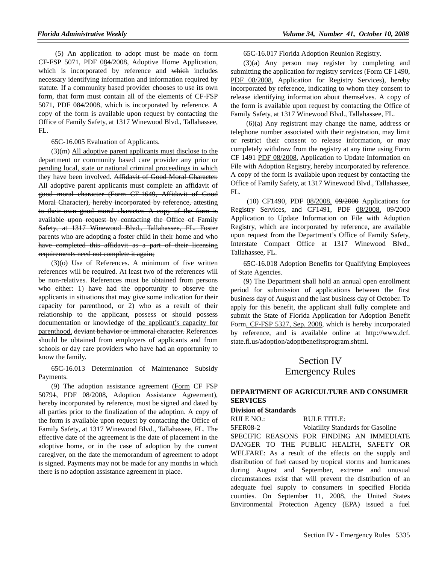(5) An application to adopt must be made on form CF-FSP 5071, PDF 084/2008, Adoptive Home Application, which is incorporated by reference and which includes necessary identifying information and information required by statute. If a community based provider chooses to use its own form, that form must contain all of the elements of CF-FSP 5071, PDF 084/2008, which is incorporated by reference. A copy of the form is available upon request by contacting the Office of Family Safety, at 1317 Winewood Blvd., Tallahassee, FL.

65C-16.005 Evaluation of Applicants.

(3)(m) All adoptive parent applicants must disclose to the department or community based care provider any prior or pending local, state or national criminal proceedings in which they have been involved. Affidavit of Good Moral Character. All adoptive parent applicants must complete an affidavit of good moral character (Form CF-1649, Affidavit of Good Moral Character), hereby incorporated by reference, attesting to their own good moral character. A copy of the form is available upon request by contacting the Office of Family Safety, at 1317 Winewood Blvd., Tallahassee, FL. Foster parents who are adopting a foster child in their home and who have completed this affidavit as a part of their licensing requirements need not complete it again;

(3)(o) Use of References. A minimum of five written references will be required. At least two of the references will be non-relatives. References must be obtained from persons who either: 1) have had the opportunity to observe the applicants in situations that may give some indication for their capacity for parenthood, or 2) who as a result of their relationship to the applicant, possess or should possess documentation or knowledge of the applicant's capacity for parenthood. deviant behavior or immoral character. References should be obtained from employers of applicants and from schools or day care providers who have had an opportunity to know the family.

65C-16.013 Determination of Maintenance Subsidy Payments.

(9) The adoption assistance agreement (Form CF FSP 50794, PDF 08/2008, Adoption Assistance Agreement), hereby incorporated by reference, must be signed and dated by all parties prior to the finalization of the adoption. A copy of the form is available upon request by contacting the Office of Family Safety, at 1317 Winewood Blvd., Tallahassee, FL. The effective date of the agreement is the date of placement in the adoptive home, or in the case of adoption by the current caregiver, on the date the memorandum of agreement to adopt is signed. Payments may not be made for any months in which there is no adoption assistance agreement in place.

65C-16.017 Florida Adoption Reunion Registry.

(3)(a) Any person may register by completing and submitting the application for registry services (Form CF 1490, PDF 08/2008, Application for Registry Services), hereby incorporated by reference, indicating to whom they consent to release identifying information about themselves. A copy of the form is available upon request by contacting the Office of Family Safety, at 1317 Winewood Blvd., Tallahassee, FL.

 (6)(a) Any registrant may change the name, address or telephone number associated with their registration, may limit or restrict their consent to release information, or may completely withdraw from the registry at any time using Form CF 1491 PDF 08/2008, Application to Update Information on File with Adoption Registry, hereby incorporated by reference. A copy of the form is available upon request by contacting the Office of Family Safety, at 1317 Winewood Blvd., Tallahassee, FL.

 (10) CF1490, PDF 08/2008, 09/2000 Applications for Registry Services, and CF1491, PDF 08/2008, 09/2000 Application to Update Information on File with Adoption Registry, which are incorporated by reference, are available upon request from the Department's Office of Family Safety, Interstate Compact Office at 1317 Winewood Blvd., Tallahassee, FL.

65C-16.018 Adoption Benefits for Qualifying Employees of State Agencies.

(9) The Department shall hold an annual open enrollment period for submission of applications between the first business day of August and the last business day of October. To apply for this benefit, the applicant shall fully complete and submit the State of Florida Application for Adoption Benefit Form, CF-FSP 5327, Sep. 2008, which is hereby incorporated by reference, and is available online at http://www.dcf. state.fl.us/adoption/adoptbenefitsprogram.shtml.

# Section IV Emergency Rules

## **DEPARTMENT OF AGRICULTURE AND CONSUMER SERVICES**

#### **Division of Standards**

RULE NO.: RULE TITLE:

5FER08-2 Volatility Standards for Gasoline SPECIFIC REASONS FOR FINDING AN IMMEDIATE DANGER TO THE PUBLIC HEALTH, SAFETY OR WELFARE: As a result of the effects on the supply and distribution of fuel caused by tropical storms and hurricanes during August and September, extreme and unusual circumstances exist that will prevent the distribution of an adequate fuel supply to consumers in specified Florida counties. On September 11, 2008, the United States Environmental Protection Agency (EPA) issued a fuel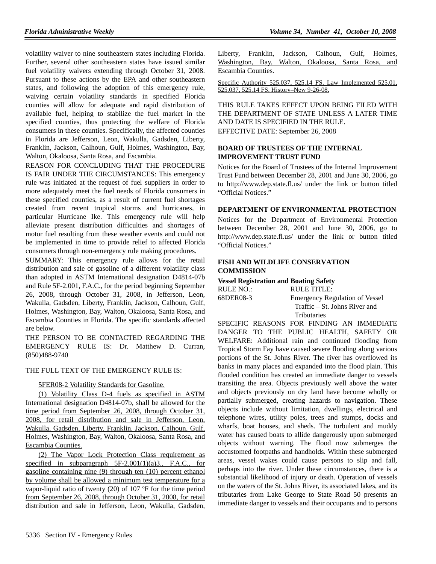volatility waiver to nine southeastern states including Florida. Further, several other southeastern states have issued similar fuel volatility waivers extending through October 31, 2008. Pursuant to these actions by the EPA and other southeastern states, and following the adoption of this emergency rule, waiving certain volatility standards in specified Florida counties will allow for adequate and rapid distribution of available fuel, helping to stabilize the fuel market in the specified counties, thus protecting the welfare of Florida consumers in these counties. Specifically, the affected counties in Florida are Jefferson, Leon, Wakulla, Gadsden, Liberty, Franklin, Jackson, Calhoun, Gulf, Holmes, Washington, Bay, Walton, Okaloosa, Santa Rosa, and Escambia.

REASON FOR CONCLUDING THAT THE PROCEDURE IS FAIR UNDER THE CIRCUMSTANCES: This emergency rule was initiated at the request of fuel suppliers in order to more adequately meet the fuel needs of Florida consumers in these specified counties, as a result of current fuel shortages created from recent tropical storms and hurricanes, in particular Hurricane Ike. This emergency rule will help alleviate present distribution difficulties and shortages of motor fuel resulting from these weather events and could not be implemented in time to provide relief to affected Florida consumers through non-emergency rule making procedures.

SUMMARY: This emergency rule allows for the retail distribution and sale of gasoline of a different volatility class than adopted in ASTM International designation D4814-07b and Rule 5F-2.001, F.A.C., for the period beginning September 26, 2008, through October 31, 2008, in Jefferson, Leon, Wakulla, Gadsden, Liberty, Franklin, Jackson, Calhoun, Gulf, Holmes, Washington, Bay, Walton, Okaloosa, Santa Rosa, and Escambia Counties in Florida. The specific standards affected are below.

THE PERSON TO BE CONTACTED REGARDING THE EMERGENCY RULE IS: Dr. Matthew D. Curran, (850)488-9740

#### THE FULL TEXT OF THE EMERGENCY RULE IS:

5FER08-2 Volatility Standards for Gasoline.

(1) Volatility Class D-4 fuels as specified in ASTM International designation D4814-07b, shall be allowed for the time period from September 26, 2008, through October 31, 2008, for retail distribution and sale in Jefferson, Leon, Wakulla, Gadsden, Liberty, Franklin, Jackson, Calhoun, Gulf, Holmes, Washington, Bay, Walton, Okaloosa, Santa Rosa, and Escambia Counties.

(2) The Vapor Lock Protection Class requirement as specified in subparagraph  $5F-2.001(1)(a)3$ ., F.A.C., for gasoline containing nine (9) through ten (10) percent ethanol by volume shall be allowed a minimum test temperature for a vapor-liquid ratio of twenty (20) of 107 ºF for the time period from September 26, 2008, through October 31, 2008, for retail distribution and sale in Jefferson, Leon, Wakulla, Gadsden,

|                    |  | Liberty, Franklin, Jackson, Calhoun, Gulf, Holmes, |  |  |
|--------------------|--|----------------------------------------------------|--|--|
|                    |  | Washington, Bay, Walton, Okaloosa, Santa Rosa, and |  |  |
| Escambia Counties. |  |                                                    |  |  |

Specific Authority 525.037, 525.14 FS. Law Implemented 525.01, 525.037, 525.14 FS. History–New 9-26-08.

THIS RULE TAKES EFFECT UPON BEING FILED WITH THE DEPARTMENT OF STATE UNLESS A LATER TIME AND DATE IS SPECIFIED IN THE RULE. EFFECTIVE DATE: September 26, 2008

#### **BOARD OF TRUSTEES OF THE INTERNAL IMPROVEMENT TRUST FUND**

Notices for the Board of Trustees of the Internal Improvement Trust Fund between December 28, 2001 and June 30, 2006, go to http://www.dep.state.fl.us/ under the link or button titled "Official Notices."

#### **DEPARTMENT OF ENVIRONMENTAL PROTECTION**

Notices for the Department of Environmental Protection between December 28, 2001 and June 30, 2006, go to http://www.dep.state.fl.us/ under the link or button titled "Official Notices."

## **FISH AND WILDLIFE CONSERVATION COMMISSION**

**Vessel Registration and Boating Safety**

| RULE NO.: | RULE TITLE:                           |
|-----------|---------------------------------------|
| 68DER08-3 | <b>Emergency Regulation of Vessel</b> |
|           | Traffic – St. Johns River and         |
|           | <b>Tributaries</b>                    |

SPECIFIC REASONS FOR FINDING AN IMMEDIATE DANGER TO THE PUBLIC HEALTH, SAFETY OR WELFARE: Additional rain and continued flooding from Tropical Storm Fay have caused severe flooding along various portions of the St. Johns River. The river has overflowed its banks in many places and expanded into the flood plain. This flooded condition has created an immediate danger to vessels transiting the area. Objects previously well above the water and objects previously on dry land have become wholly or partially submerged, creating hazards to navigation. These objects include without limitation, dwellings, electrical and telephone wires, utility poles, trees and stumps, docks and wharfs, boat houses, and sheds. The turbulent and muddy water has caused boats to allide dangerously upon submerged objects without warning. The flood now submerges the accustomed footpaths and handholds. Within these submerged areas, vessel wakes could cause persons to slip and fall, perhaps into the river. Under these circumstances, there is a substantial likelihood of injury or death. Operation of vessels on the waters of the St. Johns River, its associated lakes, and its tributaries from Lake George to State Road 50 presents an immediate danger to vessels and their occupants and to persons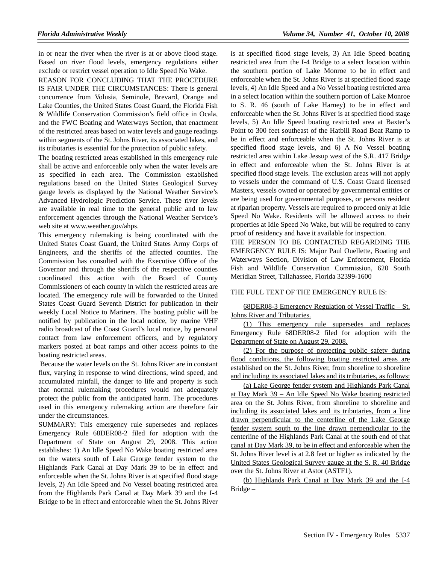in or near the river when the river is at or above flood stage. Based on river flood levels, emergency regulations either exclude or restrict vessel operation to Idle Speed No Wake.

REASON FOR CONCLUDING THAT THE PROCEDURE IS FAIR UNDER THE CIRCUMSTANCES: There is general concurrence from Volusia, Seminole, Brevard, Orange and Lake Counties, the United States Coast Guard, the Florida Fish & Wildlife Conservation Commission's field office in Ocala, and the FWC Boating and Waterways Section, that enactment of the restricted areas based on water levels and gauge readings within segments of the St. Johns River, its associated lakes, and its tributaries is essential for the protection of public safety.

The boating restricted areas established in this emergency rule shall be active and enforceable only when the water levels are as specified in each area. The Commission established regulations based on the United States Geological Survey gauge levels as displayed by the National Weather Service's Advanced Hydrologic Prediction Service. These river levels are available in real time to the general public and to law enforcement agencies through the National Weather Service's web site at www.weather.gov/ahps.

This emergency rulemaking is being coordinated with the United States Coast Guard, the United States Army Corps of Engineers, and the sheriffs of the affected counties. The Commission has consulted with the Executive Office of the Governor and through the sheriffs of the respective counties coordinated this action with the Board of County Commissioners of each county in which the restricted areas are located. The emergency rule will be forwarded to the United States Coast Guard Seventh District for publication in their weekly Local Notice to Mariners. The boating public will be notified by publication in the local notice, by marine VHF radio broadcast of the Coast Guard's local notice, by personal contact from law enforcement officers, and by regulatory markers posted at boat ramps and other access points to the boating restricted areas.

 Because the water levels on the St. Johns River are in constant flux, varying in response to wind directions, wind speed, and accumulated rainfall, the danger to life and property is such that normal rulemaking procedures would not adequately protect the public from the anticipated harm. The procedures used in this emergency rulemaking action are therefore fair under the circumstances.

SUMMARY: This emergency rule supersedes and replaces Emergency Rule 68DER08-2 filed for adoption with the Department of State on August 29, 2008. This action establishes: 1) An Idle Speed No Wake boating restricted area on the waters south of Lake George fender system to the Highlands Park Canal at Day Mark 39 to be in effect and enforceable when the St. Johns River is at specified flood stage levels, 2) An Idle Speed and No Vessel boating restricted area from the Highlands Park Canal at Day Mark 39 and the I-4 Bridge to be in effect and enforceable when the St. Johns River

is at specified flood stage levels, 3) An Idle Speed boating restricted area from the I-4 Bridge to a select location within the southern portion of Lake Monroe to be in effect and enforceable when the St. Johns River is at specified flood stage levels, 4) An Idle Speed and a No Vessel boating restricted area in a select location within the southern portion of Lake Monroe to S. R. 46 (south of Lake Harney) to be in effect and enforceable when the St. Johns River is at specified flood stage levels, 5) An Idle Speed boating restricted area at Baxter's Point to 300 feet southeast of the Hatbill Road Boat Ramp to be in effect and enforceable when the St. Johns River is at specified flood stage levels, and 6) A No Vessel boating restricted area within Lake Jessup west of the S.R. 417 Bridge in effect and enforceable when the St. Johns River is at specified flood stage levels. The exclusion areas will not apply to vessels under the command of U.S. Coast Guard licensed Masters, vessels owned or operated by governmental entities or are being used for governmental purposes, or persons resident at riparian property. Vessels are required to proceed only at Idle Speed No Wake. Residents will be allowed access to their properties at Idle Speed No Wake, but will be required to carry proof of residency and have it available for inspection.

THE PERSON TO BE CONTACTED REGARDING THE EMERGENCY RULE IS: Major Paul Ouellette, Boating and Waterways Section, Division of Law Enforcement, Florida Fish and Wildlife Conservation Commission, 620 South Meridian Street, Tallahassee, Florida 32399-1600

#### THE FULL TEXT OF THE EMERGENCY RULE IS:

68DER08-3 Emergency Regulation of Vessel Traffic – St. Johns River and Tributaries.

(1) This emergency rule supersedes and replaces Emergency Rule 68DER08-2 filed for adoption with the Department of State on August 29, 2008.

(2) For the purpose of protecting public safety during flood conditions, the following boating restricted areas are established on the St. Johns River, from shoreline to shoreline and including its associated lakes and its tributaries, as follows:

(a) Lake George fender system and Highlands Park Canal at Day Mark 39 – An Idle Speed No Wake boating restricted area on the St. Johns River, from shoreline to shoreline and including its associated lakes and its tributaries, from a line drawn perpendicular to the centerline of the Lake George fender system south to the line drawn perpendicular to the centerline of the Highlands Park Canal at the south end of that canal at Day Mark 39, to be in effect and enforceable when the St. Johns River level is at 2.8 feet or higher as indicated by the United States Geological Survey gauge at the S. R. 40 Bridge over the St. Johns River at Astor (ASTF1).

(b) Highlands Park Canal at Day Mark 39 and the I-4  $Bridge -$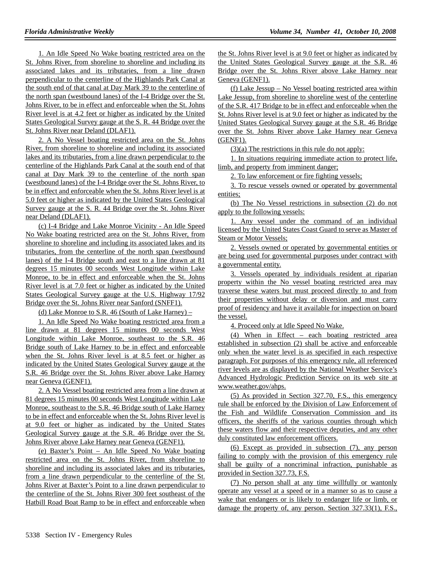1. An Idle Speed No Wake boating restricted area on the St. Johns River, from shoreline to shoreline and including its associated lakes and its tributaries, from a line drawn perpendicular to the centerline of the Highlands Park Canal at the south end of that canal at Day Mark 39 to the centerline of the north span (westbound lanes) of the I-4 Bridge over the St. Johns River, to be in effect and enforceable when the St. Johns River level is at 4.2 feet or higher as indicated by the United States Geological Survey gauge at the S. R. 44 Bridge over the St. Johns River near Deland (DLAF1).

2. A No Vessel boating restricted area on the St. Johns River, from shoreline to shoreline and including its associated lakes and its tributaries, from a line drawn perpendicular to the centerline of the Highlands Park Canal at the south end of that canal at Day Mark 39 to the centerline of the north span (westbound lanes) of the I-4 Bridge over the St. Johns River, to be in effect and enforceable when the St. Johns River level is at 5.0 feet or higher as indicated by the United States Geological Survey gauge at the S. R. 44 Bridge over the St. Johns River near Deland (DLAF1).

(c) I-4 Bridge and Lake Monroe Vicinity - An Idle Speed No Wake boating restricted area on the St. Johns River, from shoreline to shoreline and including its associated lakes and its tributaries, from the centerline of the north span (westbound lanes) of the I-4 Bridge south and east to a line drawn at 81 degrees 15 minutes 00 seconds West Longitude within Lake Monroe, to be in effect and enforceable when the St. Johns River level is at 7.0 feet or higher as indicated by the United States Geological Survey gauge at the U.S. Highway 17/92 Bridge over the St. Johns River near Sanford (SNFF1).

(d) Lake Monroe to S.R. 46 (South of Lake Harney) –

1. An Idle Speed No Wake boating restricted area from a line drawn at 81 degrees 15 minutes 00 seconds West Longitude within Lake Monroe, southeast to the S.R. 46 Bridge south of Lake Harney to be in effect and enforceable when the St. Johns River level is at 8.5 feet or higher as indicated by the United States Geological Survey gauge at the S.R. 46 Bridge over the St. Johns River above Lake Harney near Geneva (GENF1).

2. A No Vessel boating restricted area from a line drawn at 81 degrees 15 minutes 00 seconds West Longitude within Lake Monroe, southeast to the S.R. 46 Bridge south of Lake Harney to be in effect and enforceable when the St. Johns River level is at 9.0 feet or higher as indicated by the United States Geological Survey gauge at the S.R. 46 Bridge over the St. Johns River above Lake Harney near Geneva (GENF1).

(e) Baxter's Point – An Idle Speed No Wake boating restricted area on the St. Johns River, from shoreline to shoreline and including its associated lakes and its tributaries, from a line drawn perpendicular to the centerline of the St. Johns River at Baxter's Point to a line drawn perpendicular to the centerline of the St. Johns River 300 feet southeast of the Hatbill Road Boat Ramp to be in effect and enforceable when the St. Johns River level is at 9.0 feet or higher as indicated by the United States Geological Survey gauge at the S.R. 46 Bridge over the St. Johns River above Lake Harney near Geneva (GENF1).

(f) Lake Jessup – No Vessel boating restricted area within Lake Jessup, from shoreline to shoreline west of the centerline of the S.R. 417 Bridge to be in effect and enforceable when the St. Johns River level is at 9.0 feet or higher as indicated by the United States Geological Survey gauge at the S.R. 46 Bridge over the St. Johns River above Lake Harney near Geneva (GENF1).

 $(3)(a)$  The restrictions in this rule do not apply:

1. In situations requiring immediate action to protect life, limb, and property from imminent danger;

2. To law enforcement or fire fighting vessels;

3. To rescue vessels owned or operated by governmental entities;

(b) The No Vessel restrictions in subsection (2) do not apply to the following vessels:

1. Any vessel under the command of an individual licensed by the United States Coast Guard to serve as Master of Steam or Motor Vessels;

2. Vessels owned or operated by governmental entities or are being used for governmental purposes under contract with a governmental entity.

3. Vessels operated by individuals resident at riparian property within the No vessel boating restricted area may traverse these waters but must proceed directly to and from their properties without delay or diversion and must carry proof of residency and have it available for inspection on board the vessel.

4. Proceed only at Idle Speed No Wake.

(4) When in Effect – each boating restricted area established in subsection (2) shall be active and enforceable only when the water level is as specified in each respective paragraph. For purposes of this emergency rule, all referenced river levels are as displayed by the National Weather Service's Advanced Hydrologic Prediction Service on its web site at www.weather.gov/ahps.

(5) As provided in Section 327.70, F.S., this emergency rule shall be enforced by the Division of Law Enforcement of the Fish and Wildlife Conservation Commission and its officers, the sheriffs of the various counties through which these waters flow and their respective deputies, and any other duly constituted law enforcement officers.

(6) Except as provided in subsection (7), any person failing to comply with the provision of this emergency rule shall be guilty of a noncriminal infraction, punishable as provided in Section 327.73, F.S.

(7) No person shall at any time willfully or wantonly operate any vessel at a speed or in a manner so as to cause a wake that endangers or is likely to endanger life or limb, or damage the property of, any person. Section 327.33(1), F.S.,